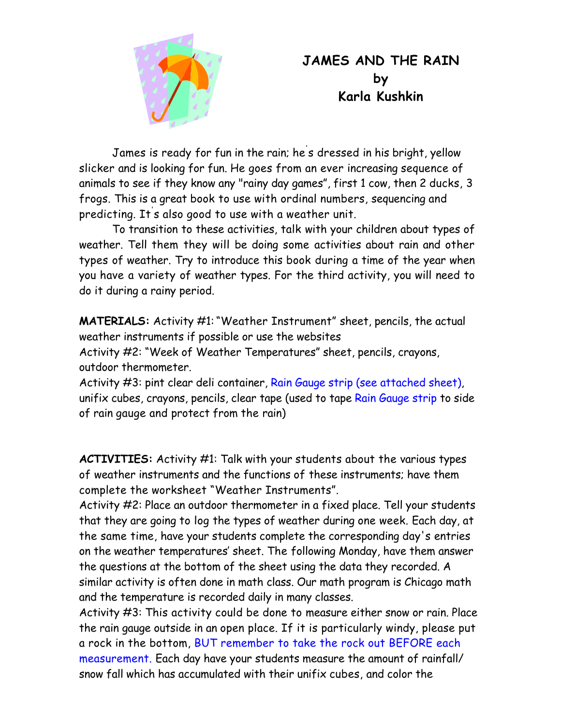

## **JAMES AND THE RAIN by Karla Kushkin**

 James is ready for fun in the rain; he' s dressed in his bright, yellow slicker and is looking for fun. He goes from an ever increasing sequence of animals to see if they know any "rainy day games", first 1 cow, then 2 ducks, 3 frogs. This is a great book to use with ordinal numbers, sequencing and predicting. It' s also good to use with a weather unit.

 To transition to these activities, talk with your children about types of weather. Tell them they will be doing some activities about rain and other types of weather. Try to introduce this book during a time of the year when you have a variety of weather types. For the third activity, you will need to do it during a rainy period.

**MATERIALS:** Activity #1:"Weather Instrument" sheet, pencils, the actual weather instruments if possible or use the websites

Activity #2: "Week of Weather Temperatures" sheet, pencils, crayons, outdoor thermometer.

Activity #3: pint clear deli container, Rain Gauge strip (see attached sheet), unifix cubes, crayons, pencils, clear tape (used to tape Rain Gauge strip to side of rain gauge and protect from the rain)

**ACTIVITIES:** Activity #1: Talk with your students about the various types of weather instruments and the functions of these instruments; have them complete the worksheet "Weather Instruments".

Activity #2: Place an outdoor thermometer in a fixed place. Tell your students that they are going to log the types of weather during one week. Each day, at the same time, have your students complete the corresponding day's entries on the weather temperatures' sheet. The following Monday, have them answer the questions at the bottom of the sheet using the data they recorded. A similar activity is often done in math class. Our math program is Chicago math and the temperature is recorded daily in many classes.

Activity #3: This activity could be done to measure either snow or rain. Place the rain gauge outside in an open place. If it is particularly windy, please put a rock in the bottom, BUT remember to take the rock out BEFORE each measurement. Each day have your students measure the amount of rainfall/ snow fall which has accumulated with their unifix cubes, and color the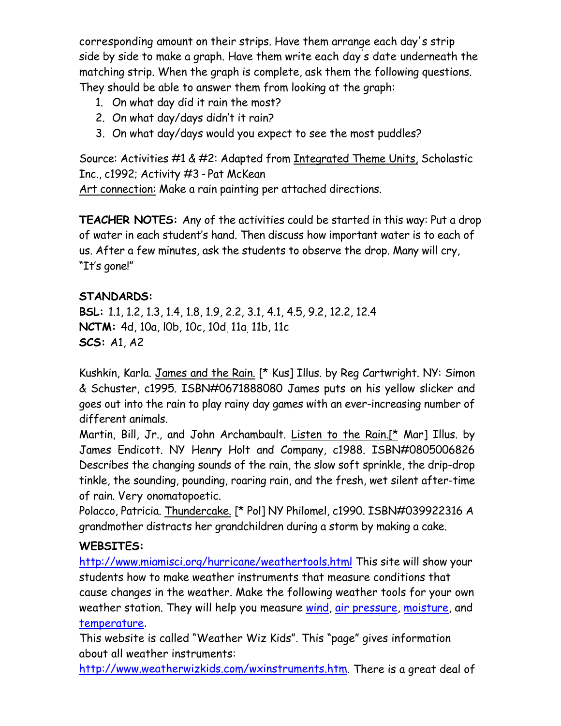corresponding amount on their strips. Have them arrange each day's strip side by side to make a graph. Have them write each day' s date underneath the matching strip. When the graph is complete, ask them the following questions. They should be able to answer them from looking at the graph:

- 1. On what day did it rain the most?
- 2. On what day/days didn't it rain?
- 3. On what day/days would you expect to see the most puddles?

Source: Activities #1 & #2: Adapted from Integrated Theme Units, Scholastic Inc., c1992; Activity #3 - Pat McKean

Art connection: Make a rain painting per attached directions.

**TEACHER NOTES:** Any of the activities could be started in this way: Put a drop of water in each student's hand. Then discuss how important water is to each of us. After a few minutes, ask the students to observe the drop. Many will cry, "It's gone!"

### **STANDARDS:**

**BSL:** 1.1, 1.2, 1.3, 1.4, 1.8, 1.9, 2.2, 3.1, 4.1, 4.5, 9.2, 12.2, 12.4 **NCTM:** 4d, 10a, l0b, 10c, 10d, 11a, 11b, 11c **SCS:** A1, A2

Kushkin, Karla. James and the Rain. [\* Kus] Illus. by Reg Cartwright. NY: Simon & Schuster, c1995. ISBN#0671888080 James puts on his yellow slicker and goes out into the rain to play rainy day games with an ever-increasing number of different animals.

Martin, Bill, Jr., and John Archambault. Listen to the Rain.[\* Mar] Illus. by James Endicott. NY Henry Holt and Company, c1988. ISBN#0805006826 Describes the changing sounds of the rain, the slow soft sprinkle, the drip-drop tinkle, the sounding, pounding, roaring rain, and the fresh, wet silent after-time of rain. Very onomatopoetic.

Polacco, Patricia. Thundercake. [\* Pol] NY Philomel, c1990. ISBN#039922316 A grandmother distracts her grandchildren during a storm by making a cake.

### **WEBSITES:**

http://www.miamisci.org/hurricane/weathertools.html This site will show your students how to make weather instruments that measure conditions that cause changes in the weather. Make the following weather tools for your own weather station. They will help you measure wind, air pressure, moisture, and temperature.

This website is called "Weather Wiz Kids". This "page" gives information about all weather instruments:

http://www.weatherwizkids.com/wxinstruments.htm. There is a great deal of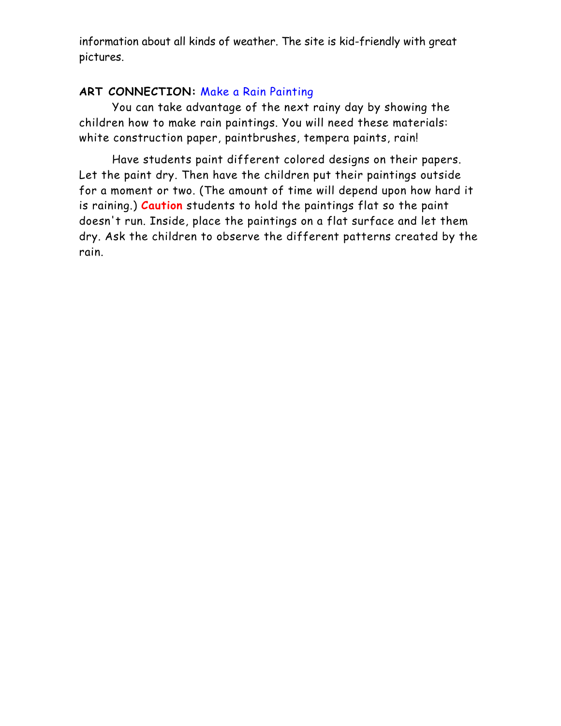information about all kinds of weather. The site is kid-friendly with great pictures.

#### **ART CONNECTION:** Make a Rain Painting

 You can take advantage of the next rainy day by showing the children how to make rain paintings. You will need these materials: white construction paper, paintbrushes, tempera paints, rain!

 Have students paint different colored designs on their papers. Let the paint dry. Then have the children put their paintings outside for a moment or two. (The amount of time will depend upon how hard it is raining.) **Caution** students to hold the paintings flat so the paint doesn't run. Inside, place the paintings on a flat surface and let them dry. Ask the children to observe the different patterns created by the rain.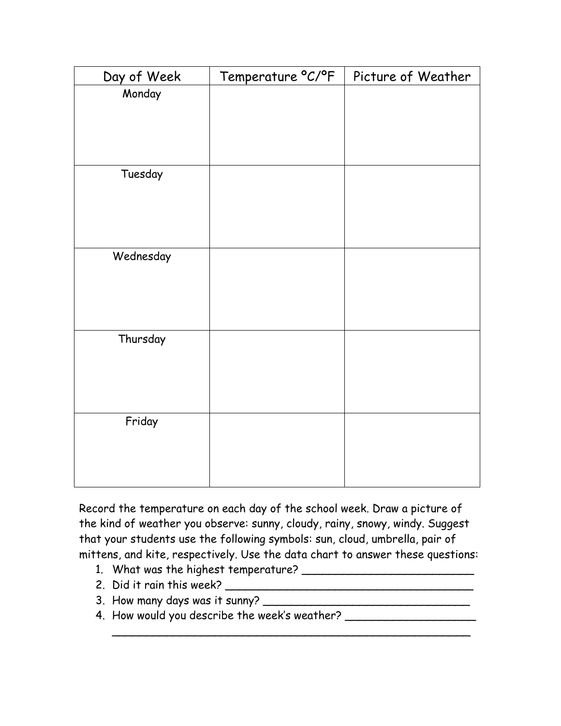| Day of Week | Temperature °C/°F | Picture of Weather |  |
|-------------|-------------------|--------------------|--|
| Monday      |                   |                    |  |
|             |                   |                    |  |
|             |                   |                    |  |
|             |                   |                    |  |
| Tuesday     |                   |                    |  |
|             |                   |                    |  |
|             |                   |                    |  |
|             |                   |                    |  |
| Wednesday   |                   |                    |  |
|             |                   |                    |  |
|             |                   |                    |  |
|             |                   |                    |  |
| Thursday    |                   |                    |  |
|             |                   |                    |  |
|             |                   |                    |  |
|             |                   |                    |  |
| Friday      |                   |                    |  |
|             |                   |                    |  |
|             |                   |                    |  |
|             |                   |                    |  |

Record the temperature on each day of the school week. Draw a picture of the kind of weather you observe: sunny, cloudy, rainy, snowy, windy. Suggest that your students use the following symbols: sun, cloud, umbrella, pair of mittens, and kite, respectively. Use the data chart to answer these questions:

\_\_\_\_\_\_\_\_\_\_\_\_\_\_\_\_\_\_\_\_\_\_\_\_\_\_\_\_\_\_\_\_\_\_\_\_\_\_\_\_\_\_\_\_\_\_\_\_\_\_\_\_

- 1. What was the highest temperature? \_\_\_\_\_\_\_\_\_\_\_\_\_\_\_\_\_\_\_\_\_\_\_\_\_
- 2. Did it rain this week? \_\_\_\_\_\_\_\_\_\_\_\_\_\_\_\_\_\_\_\_\_\_\_\_\_\_\_\_\_\_\_\_\_\_\_\_
- 3. How many days was it sunny? \_\_\_\_\_\_\_\_\_\_\_\_\_\_\_\_\_\_\_\_\_\_\_\_\_\_\_\_\_\_
- 4. How would you describe the week's weather? \_\_\_\_\_\_\_\_\_\_\_\_\_\_\_\_\_\_\_\_\_\_\_\_\_\_\_\_\_\_\_\_\_\_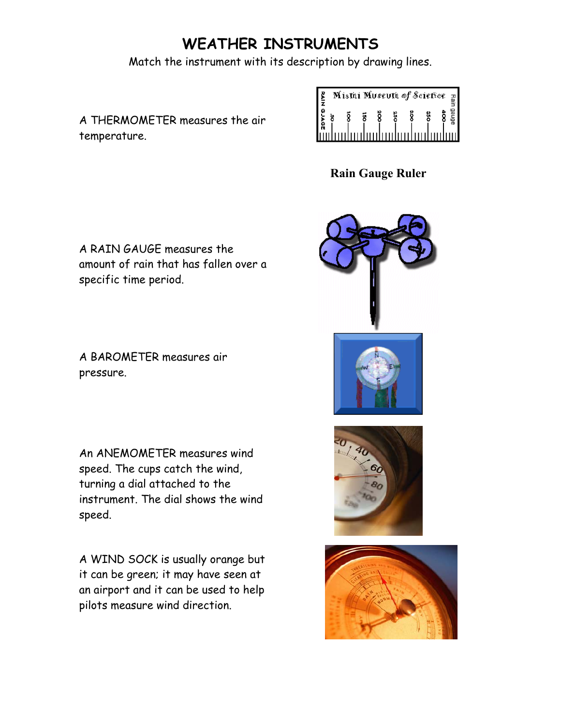# **WEATHER INSTRUMENTS**

Match the instrument with its description by drawing lines.

A THERMOMETER measures the air temperature.

|                                 |   | Mistai Museuta of Sciefice |    |  |
|---------------------------------|---|----------------------------|----|--|
|                                 | ä | ã                          | នី |  |
| <u>lüdmuluuluuluuluuluuluul</u> |   |                            |    |  |

**Rain Gauge Ruler** 

A RAIN GAUGE measures the amount of rain that has fallen over a specific time period.

A BAROMETER measures air pressure.

An ANEMOMETER measures wind speed. The cups catch the wind, turning a dial attached to the instrument. The dial shows the wind speed.

A WIND SOCK is usually orange but it can be green; it may have seen at an airport and it can be used to help pilots measure wind direction.